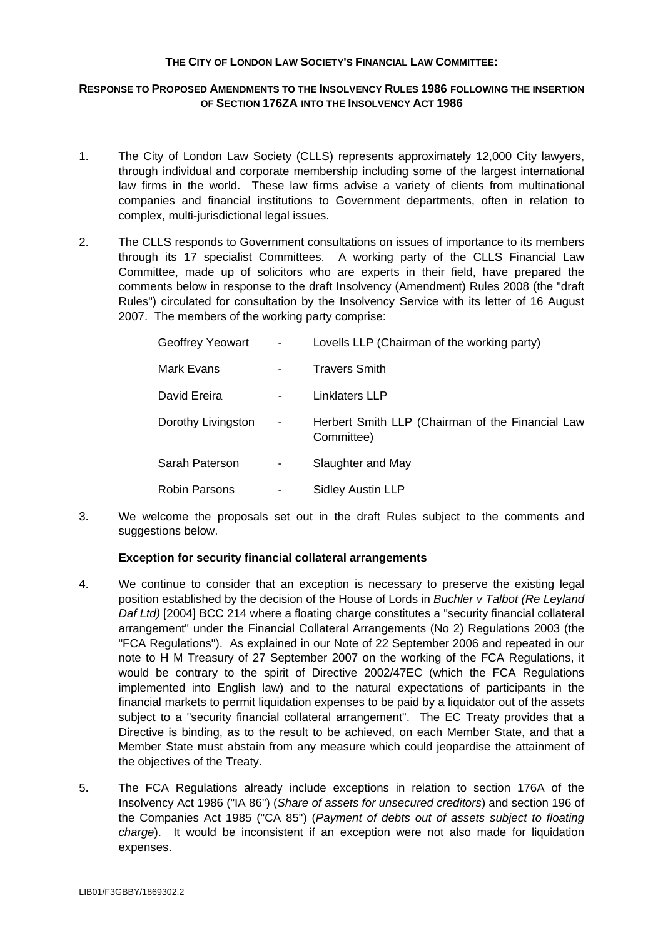# **THE CITY OF LONDON LAW SOCIETY'S FINANCIAL LAW COMMITTEE:**

# **RESPONSE TO PROPOSED AMENDMENTS TO THE INSOLVENCY RULES 1986 FOLLOWING THE INSERTION OF SECTION 176ZA INTO THE INSOLVENCY ACT 1986**

- 1. The City of London Law Society (CLLS) represents approximately 12,000 City lawyers, through individual and corporate membership including some of the largest international law firms in the world. These law firms advise a variety of clients from multinational companies and financial institutions to Government departments, often in relation to complex, multi-jurisdictional legal issues.
- 2. The CLLS responds to Government consultations on issues of importance to its members through its 17 specialist Committees. A working party of the CLLS Financial Law Committee, made up of solicitors who are experts in their field, have prepared the comments below in response to the draft Insolvency (Amendment) Rules 2008 (the "draft Rules") circulated for consultation by the Insolvency Service with its letter of 16 August 2007. The members of the working party comprise:

| Geoffrey Yeowart     | $\blacksquare$           | Lovells LLP (Chairman of the working party)                    |
|----------------------|--------------------------|----------------------------------------------------------------|
| Mark Evans           | ۰                        | <b>Travers Smith</b>                                           |
| David Ereira         |                          | <b>Linklaters LLP</b>                                          |
| Dorothy Livingston   | $\overline{\phantom{0}}$ | Herbert Smith LLP (Chairman of the Financial Law<br>Committee) |
| Sarah Paterson       |                          | Slaughter and May                                              |
| <b>Robin Parsons</b> |                          | <b>Sidley Austin LLP</b>                                       |

3. We welcome the proposals set out in the draft Rules subject to the comments and suggestions below.

# **Exception for security financial collateral arrangements**

- 4. We continue to consider that an exception is necessary to preserve the existing legal position established by the decision of the House of Lords in *Buchler v Talbot (Re Leyland Daf Ltd)* [2004] BCC 214 where a floating charge constitutes a "security financial collateral arrangement" under the Financial Collateral Arrangements (No 2) Regulations 2003 (the "FCA Regulations"). As explained in our Note of 22 September 2006 and repeated in our note to H M Treasury of 27 September 2007 on the working of the FCA Regulations, it would be contrary to the spirit of Directive 2002/47EC (which the FCA Regulations implemented into English law) and to the natural expectations of participants in the financial markets to permit liquidation expenses to be paid by a liquidator out of the assets subject to a "security financial collateral arrangement". The EC Treaty provides that a Directive is binding, as to the result to be achieved, on each Member State, and that a Member State must abstain from any measure which could jeopardise the attainment of the objectives of the Treaty.
- 5. The FCA Regulations already include exceptions in relation to section 176A of the Insolvency Act 1986 ("IA 86") (*Share of assets for unsecured creditors*) and section 196 of the Companies Act 1985 ("CA 85") (*Payment of debts out of assets subject to floating charge*). It would be inconsistent if an exception were not also made for liquidation expenses.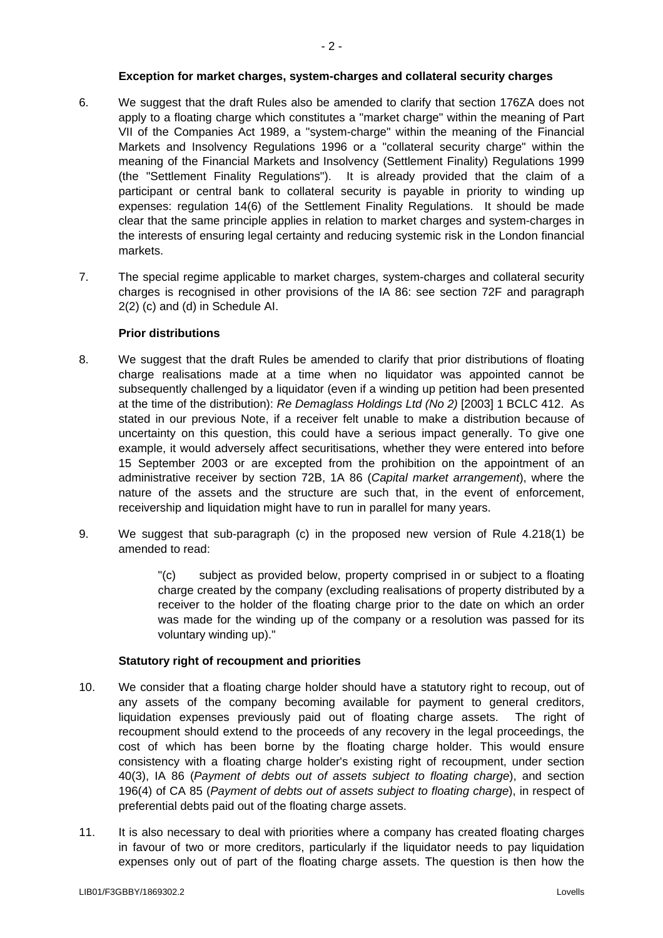#### **Exception for market charges, system-charges and collateral security charges**

- 6. We suggest that the draft Rules also be amended to clarify that section 176ZA does not apply to a floating charge which constitutes a "market charge" within the meaning of Part VII of the Companies Act 1989, a "system-charge" within the meaning of the Financial Markets and Insolvency Regulations 1996 or a "collateral security charge" within the meaning of the Financial Markets and Insolvency (Settlement Finality) Regulations 1999 (the "Settlement Finality Regulations"). It is already provided that the claim of a participant or central bank to collateral security is payable in priority to winding up expenses: regulation 14(6) of the Settlement Finality Regulations. It should be made clear that the same principle applies in relation to market charges and system-charges in the interests of ensuring legal certainty and reducing systemic risk in the London financial markets.
- 7. The special regime applicable to market charges, system-charges and collateral security charges is recognised in other provisions of the IA 86: see section 72F and paragraph 2(2) (c) and (d) in Schedule AI.

#### **Prior distributions**

- 8. We suggest that the draft Rules be amended to clarify that prior distributions of floating charge realisations made at a time when no liquidator was appointed cannot be subsequently challenged by a liquidator (even if a winding up petition had been presented at the time of the distribution): *Re Demaglass Holdings Ltd (No 2)* [2003] 1 BCLC 412. As stated in our previous Note, if a receiver felt unable to make a distribution because of uncertainty on this question, this could have a serious impact generally. To give one example, it would adversely affect securitisations, whether they were entered into before 15 September 2003 or are excepted from the prohibition on the appointment of an administrative receiver by section 72B, 1A 86 (*Capital market arrangement*), where the nature of the assets and the structure are such that, in the event of enforcement, receivership and liquidation might have to run in parallel for many years.
- 9. We suggest that sub-paragraph (c) in the proposed new version of Rule 4.218(1) be amended to read:

"(c) subject as provided below, property comprised in or subject to a floating charge created by the company (excluding realisations of property distributed by a receiver to the holder of the floating charge prior to the date on which an order was made for the winding up of the company or a resolution was passed for its voluntary winding up)."

# **Statutory right of recoupment and priorities**

- 10. We consider that a floating charge holder should have a statutory right to recoup, out of any assets of the company becoming available for payment to general creditors, liquidation expenses previously paid out of floating charge assets. The right of recoupment should extend to the proceeds of any recovery in the legal proceedings, the cost of which has been borne by the floating charge holder. This would ensure consistency with a floating charge holder's existing right of recoupment, under section 40(3), IA 86 (*Payment of debts out of assets subject to floating charge*), and section 196(4) of CA 85 (*Payment of debts out of assets subject to floating charge*), in respect of preferential debts paid out of the floating charge assets.
- 11. It is also necessary to deal with priorities where a company has created floating charges in favour of two or more creditors, particularly if the liquidator needs to pay liquidation expenses only out of part of the floating charge assets. The question is then how the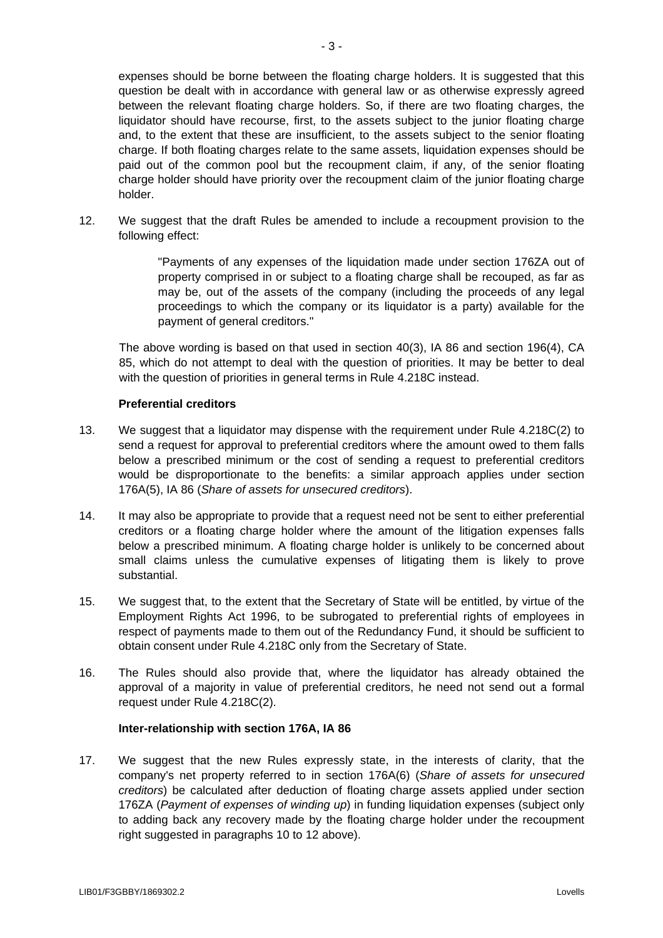expenses should be borne between the floating charge holders. It is suggested that this question be dealt with in accordance with general law or as otherwise expressly agreed between the relevant floating charge holders. So, if there are two floating charges, the liquidator should have recourse, first, to the assets subject to the junior floating charge and, to the extent that these are insufficient, to the assets subject to the senior floating charge. If both floating charges relate to the same assets, liquidation expenses should be paid out of the common pool but the recoupment claim, if any, of the senior floating charge holder should have priority over the recoupment claim of the junior floating charge holder.

12. We suggest that the draft Rules be amended to include a recoupment provision to the following effect:

> "Payments of any expenses of the liquidation made under section 176ZA out of property comprised in or subject to a floating charge shall be recouped, as far as may be, out of the assets of the company (including the proceeds of any legal proceedings to which the company or its liquidator is a party) available for the payment of general creditors."

The above wording is based on that used in section 40(3), IA 86 and section 196(4), CA 85, which do not attempt to deal with the question of priorities. It may be better to deal with the question of priorities in general terms in Rule 4.218C instead.

# **Preferential creditors**

- 13. We suggest that a liquidator may dispense with the requirement under Rule 4.218C(2) to send a request for approval to preferential creditors where the amount owed to them falls below a prescribed minimum or the cost of sending a request to preferential creditors would be disproportionate to the benefits: a similar approach applies under section 176A(5), IA 86 (*Share of assets for unsecured creditors*).
- 14. It may also be appropriate to provide that a request need not be sent to either preferential creditors or a floating charge holder where the amount of the litigation expenses falls below a prescribed minimum. A floating charge holder is unlikely to be concerned about small claims unless the cumulative expenses of litigating them is likely to prove substantial.
- 15. We suggest that, to the extent that the Secretary of State will be entitled, by virtue of the Employment Rights Act 1996, to be subrogated to preferential rights of employees in respect of payments made to them out of the Redundancy Fund, it should be sufficient to obtain consent under Rule 4.218C only from the Secretary of State.
- 16. The Rules should also provide that, where the liquidator has already obtained the approval of a majority in value of preferential creditors, he need not send out a formal request under Rule 4.218C(2).

# **Inter-relationship with section 176A, IA 86**

17. We suggest that the new Rules expressly state, in the interests of clarity, that the company's net property referred to in section 176A(6) (*Share of assets for unsecured creditors*) be calculated after deduction of floating charge assets applied under section 176ZA (*Payment of expenses of winding up*) in funding liquidation expenses (subject only to adding back any recovery made by the floating charge holder under the recoupment right suggested in paragraphs 10 to 12 above).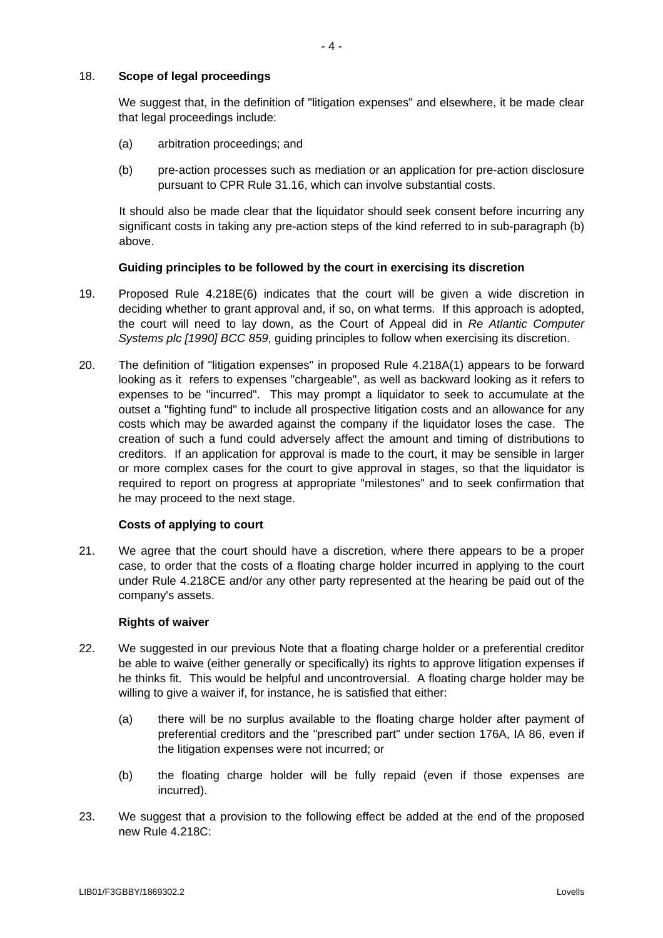# 18. **Scope of legal proceedings**

We suggest that, in the definition of "litigation expenses" and elsewhere, it be made clear that legal proceedings include:

- (a) arbitration proceedings; and
- (b) pre-action processes such as mediation or an application for pre-action disclosure pursuant to CPR Rule 31.16, which can involve substantial costs.

It should also be made clear that the liquidator should seek consent before incurring any significant costs in taking any pre-action steps of the kind referred to in sub-paragraph (b) above.

# **Guiding principles to be followed by the court in exercising its discretion**

- 19. Proposed Rule 4.218E(6) indicates that the court will be given a wide discretion in deciding whether to grant approval and, if so, on what terms. If this approach is adopted, the court will need to lay down, as the Court of Appeal did in *Re Atlantic Computer Systems plc [1990] BCC 859*, guiding principles to follow when exercising its discretion.
- 20. The definition of "litigation expenses" in proposed Rule 4.218A(1) appears to be forward looking as it refers to expenses "chargeable", as well as backward looking as it refers to expenses to be "incurred". This may prompt a liquidator to seek to accumulate at the outset a "fighting fund" to include all prospective litigation costs and an allowance for any costs which may be awarded against the company if the liquidator loses the case. The creation of such a fund could adversely affect the amount and timing of distributions to creditors. If an application for approval is made to the court, it may be sensible in larger or more complex cases for the court to give approval in stages, so that the liquidator is required to report on progress at appropriate "milestones" and to seek confirmation that he may proceed to the next stage.

# **Costs of applying to court**

21. We agree that the court should have a discretion, where there appears to be a proper case, to order that the costs of a floating charge holder incurred in applying to the court under Rule 4.218CE and/or any other party represented at the hearing be paid out of the company's assets.

# **Rights of waiver**

- 22. We suggested in our previous Note that a floating charge holder or a preferential creditor be able to waive (either generally or specifically) its rights to approve litigation expenses if he thinks fit. This would be helpful and uncontroversial. A floating charge holder may be willing to give a waiver if, for instance, he is satisfied that either:
	- (a) there will be no surplus available to the floating charge holder after payment of preferential creditors and the "prescribed part" under section 176A, IA 86, even if the litigation expenses were not incurred; or
	- (b) the floating charge holder will be fully repaid (even if those expenses are incurred).
- 23. We suggest that a provision to the following effect be added at the end of the proposed new Rule 4.218C: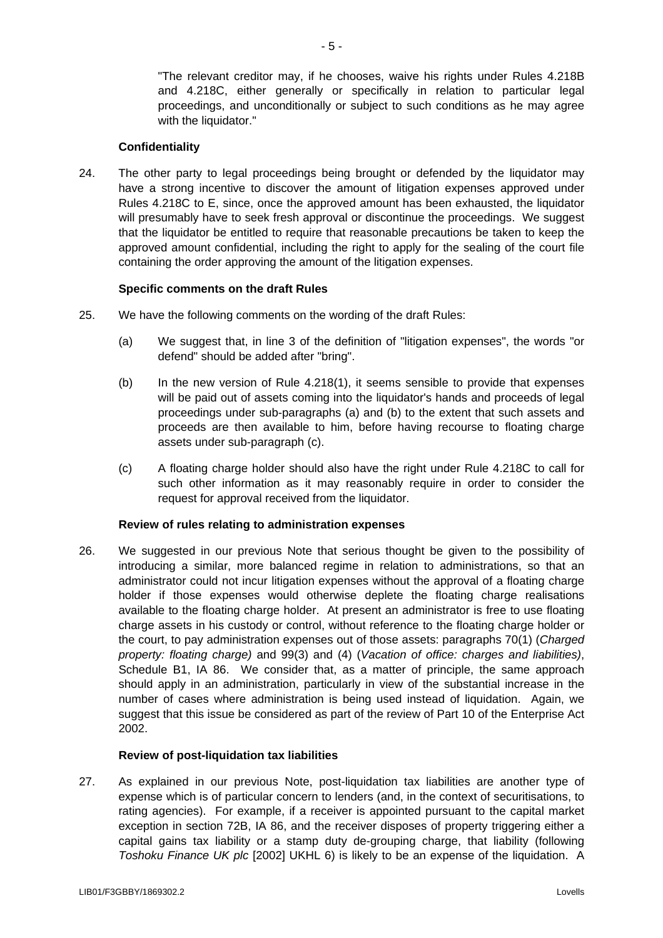"The relevant creditor may, if he chooses, waive his rights under Rules 4.218B and 4.218C, either generally or specifically in relation to particular legal proceedings, and unconditionally or subject to such conditions as he may agree with the liquidator."

#### **Confidentiality**

24. The other party to legal proceedings being brought or defended by the liquidator may have a strong incentive to discover the amount of litigation expenses approved under Rules 4.218C to E, since, once the approved amount has been exhausted, the liquidator will presumably have to seek fresh approval or discontinue the proceedings. We suggest that the liquidator be entitled to require that reasonable precautions be taken to keep the approved amount confidential, including the right to apply for the sealing of the court file containing the order approving the amount of the litigation expenses.

#### **Specific comments on the draft Rules**

- 25. We have the following comments on the wording of the draft Rules:
	- (a) We suggest that, in line 3 of the definition of "litigation expenses", the words "or defend" should be added after "bring".
	- (b) In the new version of Rule 4.218(1), it seems sensible to provide that expenses will be paid out of assets coming into the liquidator's hands and proceeds of legal proceedings under sub-paragraphs (a) and (b) to the extent that such assets and proceeds are then available to him, before having recourse to floating charge assets under sub-paragraph (c).
	- (c) A floating charge holder should also have the right under Rule 4.218C to call for such other information as it may reasonably require in order to consider the request for approval received from the liquidator.

#### **Review of rules relating to administration expenses**

26. We suggested in our previous Note that serious thought be given to the possibility of introducing a similar, more balanced regime in relation to administrations, so that an administrator could not incur litigation expenses without the approval of a floating charge holder if those expenses would otherwise deplete the floating charge realisations available to the floating charge holder. At present an administrator is free to use floating charge assets in his custody or control, without reference to the floating charge holder or the court, to pay administration expenses out of those assets: paragraphs 70(1) (*Charged property: floating charge)* and 99(3) and (4) (*Vacation of office: charges and liabilities)*, Schedule B1, IA 86. We consider that, as a matter of principle, the same approach should apply in an administration, particularly in view of the substantial increase in the number of cases where administration is being used instead of liquidation. Again, we suggest that this issue be considered as part of the review of Part 10 of the Enterprise Act 2002.

#### **Review of post-liquidation tax liabilities**

27. As explained in our previous Note, post-liquidation tax liabilities are another type of expense which is of particular concern to lenders (and, in the context of securitisations, to rating agencies). For example, if a receiver is appointed pursuant to the capital market exception in section 72B, IA 86, and the receiver disposes of property triggering either a capital gains tax liability or a stamp duty de-grouping charge, that liability (following *Toshoku Finance UK plc* [2002] UKHL 6) is likely to be an expense of the liquidation. A